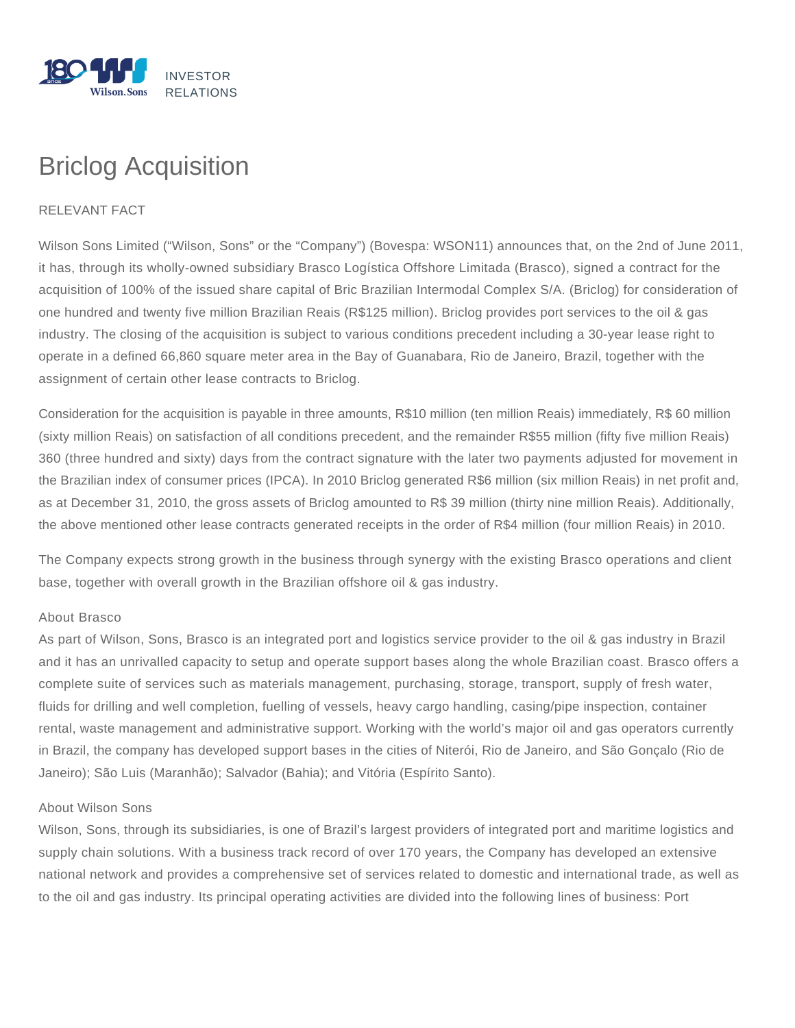

## Briclog Acquisition

## RELEVANT FACT

Wilson Sons Limited ("Wilson, Sons" or the "Company") (Bovespa: WSON11) announces that, on the 2nd of June 2011, it has, through its wholly-owned subsidiary Brasco Logística Offshore Limitada (Brasco), signed a contract for the acquisition of 100% of the issued share capital of Bric Brazilian Intermodal Complex S/A. (Briclog) for consideration of one hundred and twenty five million Brazilian Reais (R\$125 million). Briclog provides port services to the oil & gas industry. The closing of the acquisition is subject to various conditions precedent including a 30-year lease right to operate in a defined 66,860 square meter area in the Bay of Guanabara, Rio de Janeiro, Brazil, together with the assignment of certain other lease contracts to Briclog.

Consideration for the acquisition is payable in three amounts, R\$10 million (ten million Reais) immediately, R\$ 60 million (sixty million Reais) on satisfaction of all conditions precedent, and the remainder R\$55 million (fifty five million Reais) 360 (three hundred and sixty) days from the contract signature with the later two payments adjusted for movement in the Brazilian index of consumer prices (IPCA). In 2010 Briclog generated R\$6 million (six million Reais) in net profit and, as at December 31, 2010, the gross assets of Briclog amounted to R\$ 39 million (thirty nine million Reais). Additionally, the above mentioned other lease contracts generated receipts in the order of R\$4 million (four million Reais) in 2010.

The Company expects strong growth in the business through synergy with the existing Brasco operations and client base, together with overall growth in the Brazilian offshore oil & gas industry.

## About Brasco

As part of Wilson, Sons, Brasco is an integrated port and logistics service provider to the oil & gas industry in Brazil and it has an unrivalled capacity to setup and operate support bases along the whole Brazilian coast. Brasco offers a complete suite of services such as materials management, purchasing, storage, transport, supply of fresh water, fluids for drilling and well completion, fuelling of vessels, heavy cargo handling, casing/pipe inspection, container rental, waste management and administrative support. Working with the world's major oil and gas operators currently in Brazil, the company has developed support bases in the cities of Niterói, Rio de Janeiro, and São Gonçalo (Rio de Janeiro); São Luis (Maranhão); Salvador (Bahia); and Vitória (Espírito Santo).

## About Wilson Sons

Wilson, Sons, through its subsidiaries, is one of Brazil's largest providers of integrated port and maritime logistics and supply chain solutions. With a business track record of over 170 years, the Company has developed an extensive national network and provides a comprehensive set of services related to domestic and international trade, as well as to the oil and gas industry. Its principal operating activities are divided into the following lines of business: Port